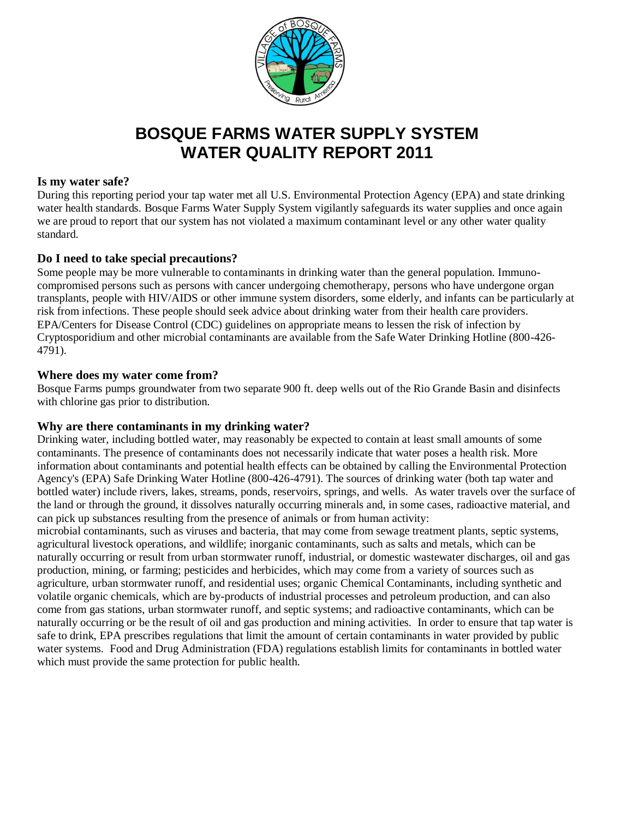

### **BOSQUE FARMS WATER SUPPLY SYSTEM WATER QUALITY REPORT 2011**

#### **Is my water safe?**

During this reporting period your tap water met all U.S. Environmental Protection Agency (EPA) and state drinking water health standards. Bosque Farms Water Supply System vigilantly safeguards its water supplies and once again we are proud to report that our system has not violated a maximum contaminant level or any other water quality standard.

#### **Do I need to take special precautions?**

Some people may be more vulnerable to contaminants in drinking water than the general population. Immunocompromised persons such as persons with cancer undergoing chemotherapy, persons who have undergone organ transplants, people with HIV/AIDS or other immune system disorders, some elderly, and infants can be particularly at risk from infections. These people should seek advice about drinking water from their health care providers. EPA/Centers for Disease Control (CDC) guidelines on appropriate means to lessen the risk of infection by Cryptosporidium and other microbial contaminants are available from the Safe Water Drinking Hotline (800-426- 4791).

#### **Where does my water come from?**

Bosque Farms pumps groundwater from two separate 900 ft. deep wells out of the Rio Grande Basin and disinfects with chlorine gas prior to distribution.

#### **Why are there contaminants in my drinking water?**

Drinking water, including bottled water, may reasonably be expected to contain at least small amounts of some contaminants. The presence of contaminants does not necessarily indicate that water poses a health risk. More information about contaminants and potential health effects can be obtained by calling the Environmental Protection Agency's (EPA) Safe Drinking Water Hotline (800-426-4791). The sources of drinking water (both tap water and bottled water) include rivers, lakes, streams, ponds, reservoirs, springs, and wells. As water travels over the surface of the land or through the ground, it dissolves naturally occurring minerals and, in some cases, radioactive material, and can pick up substances resulting from the presence of animals or from human activity:

microbial contaminants, such as viruses and bacteria, that may come from sewage treatment plants, septic systems, agricultural livestock operations, and wildlife; inorganic contaminants, such as salts and metals, which can be naturally occurring or result from urban stormwater runoff, industrial, or domestic wastewater discharges, oil and gas production, mining, or farming; pesticides and herbicides, which may come from a variety of sources such as agriculture, urban stormwater runoff, and residential uses; organic Chemical Contaminants, including synthetic and volatile organic chemicals, which are by-products of industrial processes and petroleum production, and can also come from gas stations, urban stormwater runoff, and septic systems; and radioactive contaminants, which can be naturally occurring or be the result of oil and gas production and mining activities. In order to ensure that tap water is safe to drink, EPA prescribes regulations that limit the amount of certain contaminants in water provided by public water systems. Food and Drug Administration (FDA) regulations establish limits for contaminants in bottled water which must provide the same protection for public health.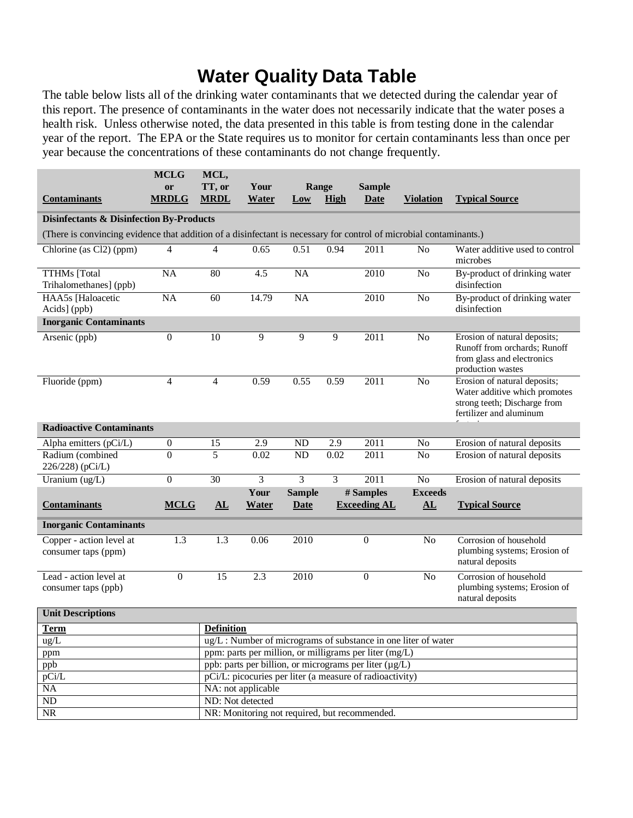## **Water Quality Data Table**

The table below lists all of the drinking water contaminants that we detected during the calendar year of this report. The presence of contaminants in the water does not necessarily indicate that the water poses a health risk. Unless otherwise noted, the data presented in this table is from testing done in the calendar year of the report. The EPA or the State requires us to monitor for certain contaminants less than once per year because the concentrations of these contaminants do not change frequently.

|                                                                                                                    | <b>MCLG</b>        | MCL,                                                                           |                      |                 |                |                                               |                                                               |                                                                                                                          |
|--------------------------------------------------------------------------------------------------------------------|--------------------|--------------------------------------------------------------------------------|----------------------|-----------------|----------------|-----------------------------------------------|---------------------------------------------------------------|--------------------------------------------------------------------------------------------------------------------------|
| <b>Contaminants</b>                                                                                                | or<br><b>MRDLG</b> | TT, or<br><b>MRDL</b>                                                          | Your<br><b>Water</b> | Range<br>Low    | <b>High</b>    | <b>Sample</b><br><b>Date</b>                  | <b>Violation</b>                                              | <b>Typical Source</b>                                                                                                    |
|                                                                                                                    |                    |                                                                                |                      |                 |                |                                               |                                                               |                                                                                                                          |
| <b>Disinfectants &amp; Disinfection By-Products</b>                                                                |                    |                                                                                |                      |                 |                |                                               |                                                               |                                                                                                                          |
| (There is convincing evidence that addition of a disinfectant is necessary for control of microbial contaminants.) |                    |                                                                                |                      |                 |                |                                               |                                                               |                                                                                                                          |
| Chlorine (as Cl2) (ppm)                                                                                            | 4                  | 4                                                                              | 0.65                 | 0.51            | 0.94           | 2011                                          | $\rm No$                                                      | Water additive used to control<br>microbes                                                                               |
| <b>TTHMs</b> [Total<br>Trihalomethanes] (ppb)                                                                      | <b>NA</b>          | 80                                                                             | 4.5                  | $\overline{NA}$ |                | 2010                                          | N <sub>o</sub>                                                | By-product of drinking water<br>disinfection                                                                             |
| HAA5s [Haloacetic<br>Acids] (ppb)                                                                                  | $\overline{NA}$    | 60                                                                             | 14.79                | $\overline{NA}$ |                | 2010                                          | N <sub>o</sub>                                                | By-product of drinking water<br>disinfection                                                                             |
| <b>Inorganic Contaminants</b>                                                                                      |                    |                                                                                |                      |                 |                |                                               |                                                               |                                                                                                                          |
| Arsenic (ppb)                                                                                                      | $\overline{0}$     | $\overline{10}$                                                                | 9                    | 9               | $\overline{9}$ | 2011                                          | N <sub>o</sub>                                                | Erosion of natural deposits;<br>Runoff from orchards; Runoff<br>from glass and electronics<br>production wastes          |
| Fluoride (ppm)                                                                                                     | 4                  | $\overline{4}$                                                                 | 0.59                 | 0.55            | 0.59           | 2011                                          | N <sub>o</sub>                                                | Erosion of natural deposits;<br>Water additive which promotes<br>strong teeth; Discharge from<br>fertilizer and aluminum |
| <b>Radioactive Contaminants</b>                                                                                    |                    |                                                                                |                      |                 |                |                                               |                                                               |                                                                                                                          |
| Alpha emitters (pCi/L)                                                                                             | $\boldsymbol{0}$   | 15                                                                             | 2.9                  | <b>ND</b>       | 2.9            | 2011                                          | N <sub>0</sub>                                                | Erosion of natural deposits                                                                                              |
| Radium (combined<br>226/228) (pCi/L)                                                                               | $\boldsymbol{0}$   | 5                                                                              | 0.02                 | <b>ND</b>       | 0.02           | 2011                                          | No                                                            | Erosion of natural deposits                                                                                              |
| Uranium (ug/L)                                                                                                     | $\overline{0}$     | $\overline{30}$                                                                | 3                    | $\overline{3}$  | $\overline{3}$ | $\overline{2011}$                             | N <sub>o</sub>                                                | Erosion of natural deposits                                                                                              |
|                                                                                                                    |                    |                                                                                | Your                 | <b>Sample</b>   |                | # Samples                                     | <b>Exceeds</b>                                                |                                                                                                                          |
| <b>Contaminants</b>                                                                                                | <b>MCLG</b>        | ${\bf \underline{AL}}$                                                         | <b>Water</b>         | <b>Date</b>     |                | <b>Exceeding AL</b>                           | ${\bf \underline{AL}}$                                        | <b>Typical Source</b>                                                                                                    |
| <b>Inorganic Contaminants</b>                                                                                      |                    |                                                                                |                      |                 |                |                                               |                                                               |                                                                                                                          |
| Copper - action level at<br>consumer taps (ppm)                                                                    | 1.3                | $\overline{1.3}$                                                               | 0.06                 | 2010            |                | $\boldsymbol{0}$                              | N <sub>0</sub>                                                | Corrosion of household<br>plumbing systems; Erosion of<br>natural deposits                                               |
| Lead - action level at<br>consumer taps (ppb)                                                                      | $\mathbf{0}$       | $\overline{15}$                                                                | 2.3                  | 2010            |                | $\mathbf{0}$                                  | N <sub>0</sub>                                                | Corrosion of household<br>plumbing systems; Erosion of<br>natural deposits                                               |
| <b>Unit Descriptions</b>                                                                                           |                    |                                                                                |                      |                 |                |                                               |                                                               |                                                                                                                          |
| <b>Term</b>                                                                                                        |                    | <b>Definition</b>                                                              |                      |                 |                |                                               |                                                               |                                                                                                                          |
| ug/L                                                                                                               |                    |                                                                                |                      |                 |                |                                               | ug/L: Number of micrograms of substance in one liter of water |                                                                                                                          |
| ppm                                                                                                                |                    | ppm: parts per million, or milligrams per liter (mg/L)                         |                      |                 |                |                                               |                                                               |                                                                                                                          |
| ppb                                                                                                                |                    | ppb: parts per billion, or micrograms per liter (µg/L)                         |                      |                 |                |                                               |                                                               |                                                                                                                          |
| pCi/L<br>NA                                                                                                        |                    | pCi/L: picocuries per liter (a measure of radioactivity)<br>NA: not applicable |                      |                 |                |                                               |                                                               |                                                                                                                          |
| $\overline{ND}$                                                                                                    |                    | ND: Not detected                                                               |                      |                 |                |                                               |                                                               |                                                                                                                          |
| NR                                                                                                                 |                    |                                                                                |                      |                 |                | NR: Monitoring not required, but recommended. |                                                               |                                                                                                                          |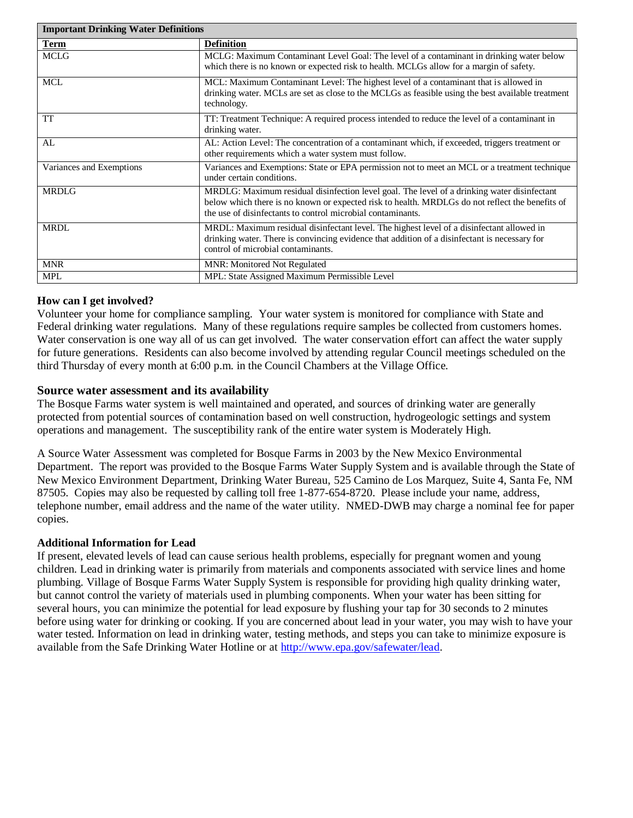| <b>Important Drinking Water Definitions</b> |                                                                                                                                                                                                                                                               |  |  |  |
|---------------------------------------------|---------------------------------------------------------------------------------------------------------------------------------------------------------------------------------------------------------------------------------------------------------------|--|--|--|
| Term                                        | <b>Definition</b>                                                                                                                                                                                                                                             |  |  |  |
| <b>MCLG</b>                                 | MCLG: Maximum Contaminant Level Goal: The level of a contaminant in drinking water below<br>which there is no known or expected risk to health. MCLGs allow for a margin of safety.                                                                           |  |  |  |
| <b>MCL</b>                                  | MCL: Maximum Contaminant Level: The highest level of a contaminant that is allowed in<br>drinking water. MCLs are set as close to the MCLGs as feasible using the best available treatment<br>technology.                                                     |  |  |  |
| TT                                          | TT: Treatment Technique: A required process intended to reduce the level of a contaminant in<br>drinking water.                                                                                                                                               |  |  |  |
| AL                                          | AL: Action Level: The concentration of a contaminant which, if exceeded, triggers treatment or<br>other requirements which a water system must follow.                                                                                                        |  |  |  |
| Variances and Exemptions                    | Variances and Exemptions: State or EPA permission not to meet an MCL or a treatment technique<br>under certain conditions.                                                                                                                                    |  |  |  |
| <b>MRDLG</b>                                | MRDLG: Maximum residual disinfection level goal. The level of a drinking water disinfectant<br>below which there is no known or expected risk to health. MRDLGs do not reflect the benefits of<br>the use of disinfectants to control microbial contaminants. |  |  |  |
| MRDL                                        | MRDL: Maximum residual disinfectant level. The highest level of a disinfectant allowed in<br>drinking water. There is convincing evidence that addition of a disinfectant is necessary for<br>control of microbial contaminants.                              |  |  |  |
| <b>MNR</b>                                  | <b>MNR: Monitored Not Regulated</b>                                                                                                                                                                                                                           |  |  |  |
| <b>MPL</b>                                  | MPL: State Assigned Maximum Permissible Level                                                                                                                                                                                                                 |  |  |  |

#### **How can I get involved?**

Volunteer your home for compliance sampling. Your water system is monitored for compliance with State and Federal drinking water regulations. Many of these regulations require samples be collected from customers homes. Water conservation is one way all of us can get involved. The water conservation effort can affect the water supply for future generations. Residents can also become involved by attending regular Council meetings scheduled on the third Thursday of every month at 6:00 p.m. in the Council Chambers at the Village Office.

#### **Source water assessment and its availability**

The Bosque Farms water system is well maintained and operated, and sources of drinking water are generally protected from potential sources of contamination based on well construction, hydrogeologic settings and system operations and management. The susceptibility rank of the entire water system is Moderately High.

A Source Water Assessment was completed for Bosque Farms in 2003 by the New Mexico Environmental Department. The report was provided to the Bosque Farms Water Supply System and is available through the State of New Mexico Environment Department, Drinking Water Bureau, 525 Camino de Los Marquez, Suite 4, Santa Fe, NM 87505. Copies may also be requested by calling toll free 1-877-654-8720. Please include your name, address, telephone number, email address and the name of the water utility. NMED-DWB may charge a nominal fee for paper copies.

#### **Additional Information for Lead**

If present, elevated levels of lead can cause serious health problems, especially for pregnant women and young children. Lead in drinking water is primarily from materials and components associated with service lines and home plumbing. Village of Bosque Farms Water Supply System is responsible for providing high quality drinking water, but cannot control the variety of materials used in plumbing components. When your water has been sitting for several hours, you can minimize the potential for lead exposure by flushing your tap for 30 seconds to 2 minutes before using water for drinking or cooking. If you are concerned about lead in your water, you may wish to have your water tested. Information on lead in drinking water, testing methods, and steps you can take to minimize exposure is available from the Safe Drinking Water Hotline or at [http://www.epa.gov/safewater/lead.](http://www.epa.gov/safewater/lead)